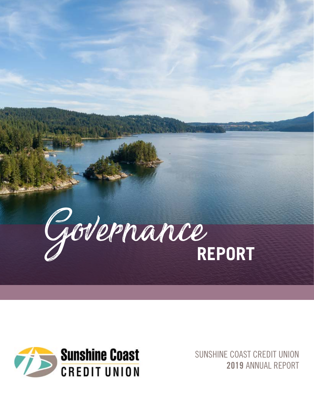



SUNSHINE COAST CREDIT UNION 2019 ANNUAL REPORT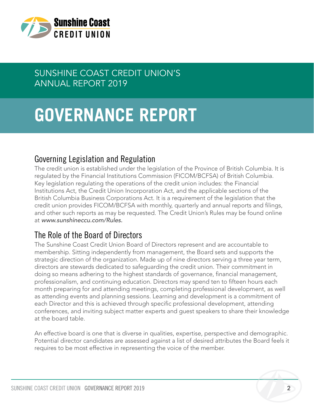

# SUNSHINE COAST CREDIT UNION'S ANNUAL REPORT 2019

# **GOVERNANCE REPORT**

### Governing Legislation and Regulation

The credit union is established under the legislation of the Province of British Columbia. It is regulated by the Financial Institutions Commission (FICOM/BCFSA) of British Columbia. Key legislation regulating the operations of the credit union includes: the Financial Institutions Act, the Credit Union Incorporation Act, and the applicable sections of the British Columbia Business Corporations Act. It is a requirement of the legislation that the credit union provides FICOM/BCFSA with monthly, quarterly and annual reports and filings, and other such reports as may be requested. The Credit Union's Rules may be found online at *www.sunshineccu.com/Rules.* 

### The Role of the Board of Directors

The Sunshine Coast Credit Union Board of Directors represent and are accountable to membership. Sitting independently from management, the Board sets and supports the strategic direction of the organization. Made up of nine directors serving a three year term, directors are stewards dedicated to safeguarding the credit union. Their commitment in doing so means adhering to the highest standards of governance, financial management, professionalism, and continuing education. Directors may spend ten to fifteen hours each month preparing for and attending meetings, completing professional development, as well as attending events and planning sessions. Learning and development is a commitment of each Director and this is achieved through specific professional development, attending conferences, and inviting subject matter experts and guest speakers to share their knowledge at the board table.

An effective board is one that is diverse in qualities, expertise, perspective and demographic. Potential director candidates are assessed against a list of desired attributes the Board feels it requires to be most effective in representing the voice of the member.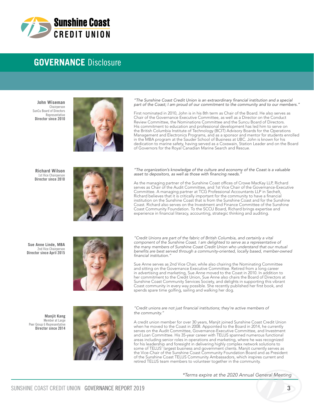

### **GOVERNANCE** Disclosure

**John Wiseman** Chairperson SunCu Board of Directors Representative Director since 2010



"The Sunshine Coast Credit Union is an extraordinary financial institution and a special part of the Coast; I am proud of our commitment to the community and to our members."

First nominated in 2010, John is in his 8th term as Chair of the Board. He also serves as Chair of the Governance Executive Committee, as well as a Director on the Conduct Review Committee, the Nominations Committee and the Suncu Board of Directors. His commitment to education and professional development has led him to serve on the British Columbia Institute of Technology (BCIT) Advisory Boards for the Operations Management and Electronics Programs, and as a sponsor and mentor for students enrolled in the MBA program at the Sauder School of Business at UBC. John is known for his dedication to marine safety, having served as a Coxswain, Station Leader and on the Board of Governors for the Royal Canadian Marine Search and Rescue.

**Richard Wilson** 1st Vice Chairperson Director since 2010



"The organization's knowledge of the culture and economy of the Coast is a valuable asset to depositors, as well as those with financing needs.

As the managing partner of the Sunshine Coast offices of Crowe MacKay LLP, Richard serves as Chair of the Audit Committee, and 1st Vice Chair of the Governance-Executive Committee. A managing partner at TCG Professional Accountants LLP in Sechelt, Richard believes that it is critically important for the community to have a financial institution on the Sunshine Coast that is from the Sunshine Coast and for the Sunshine Coast. Richard also serves on the Investment and Finance Committee of the Sunshine Coast Community Foundation. To the SCCU Board, Richard brings expertise and experience in financial literacy, accounting, strategic thinking and auditing.

**Sue Anne Linde, MBA**  2nd Vice Chairperson Director since April 2015



*"Credit Unions are part of the fabric of British Columbia, and certainly a vital component of the Sunshine Coast. I am delighted to serve as a representative of the many members of Sunshine Coast Credit Union who understand that our mutual*  benefits are best served through a community-oriented, locally based, member-owned financial institution."

Sue Anne serves as 2nd Vice Chair, while also chairing the Nominating Committee and sitting on the Governance Executive Committee. Retired from a long career in advertising and marketing, Sue Anne moved to the Coast in 2010. In addition to her commitment to the Credit Union, Sue Anne also chairs the Board of Directors at Sunshine Coast Community Services Society, and delights in supporting this vibrant Coast community in every way possible. She recently published her first book, and spends spare time golfing, sailing and walking her dog.

"Credit unions are not just financial institutions; they're active members of the community."

A credit union member for over 30 years, Manjit joined Sunshine Coast Credit Union when he moved to the Coast in 2008. Appointed to the Board in 2014, he currently serves on the Audit Committee, Governance-Executive Committee, and Investment and Loan Committee. His 35-year career with TELUS spanned numerous functional areas including senior roles in operations and marketing, where he was recognized for his leadership and foresight in delivering highly complex network solutions to some of TELUS' largest business and government clients. Manjit currently serves as the Vice-Chair of the Sunshine Coast Community Foundation Board and as President of the Sunshine Coast TELUS Community Ambassadors, which inspires current and retired TELUS team members to volunteer together in the community.

**Manjit Kang** Member at Large Peer Group 6 Representative Director since 2014



*\*Terms expire at the 2020 Annual General Meeting*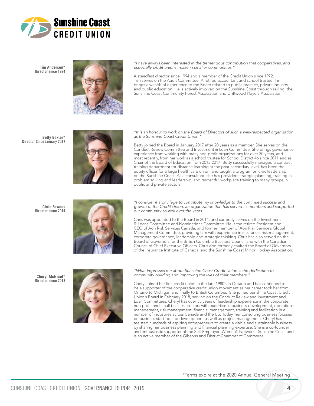

**Tim Anderson\*** Director since 1994



*"I have always been interested in the tremendous contribution that cooperatives, and*  especially credit unions, make in smaller communities.'

A steadfast director since 1994 and a member of the Credit Union since 1972, Tim serves on the Audit Committee. A retired accountant and school trustee, Tim brings a wealth of experience to the Board related to public practice, private industry and public education. He is actively involved on the Sunshine Coast through sailing, the Sunshine Coast Community Forest Association and Driftwood Players Association.

**Betty Baxter\* D**irector Since January 2017



"It is an honour to work on the Board of Directors of such a well-respected organization as the Sunshine Coast Credit Union."

Betty joined the Board in January 2017 after 20 years as a member. She serves on the Conduct Review Committee and Investment & Loan Committee. She brings governance experience from working with many non-profit organizations for over 30 years, and most recently, from her work as a school trustee for School District 46 since 2011 and as Chair of the Board of Education from 2013-2017. Betty successfully managed a contract training department for distance learning at the post-secondary level, has been the equity officer for a large health care union, and taught a program on civic leadership on the Sunshine Coast. As a consultant, she has provided strategic planning, training in problem solving and leadership, and respectful workplace training to many groups in public and private sectors.

**Chris Fawcus** Director since 2014



*"I consider it a privilege to contribute my knowledge to the continued success and*  growth of the Credit Union, an organization that has served its members and supported our community so well over the years."

Chris was appointed to the Board in 2014, and currently serves on the Investment & Loans Committee and Nominations Committee. He is the retired President and CEO of Aon Risk Services Canada, and former member of Aon Risk Service's Global Management Committee, providing him with experience in insurance, risk management, corporate governance, leadership and strategic thinking. Chris has also served on the Board of Governors for the British Columbia Business Council and with the Canadian Council of Chief Executive Officers. Chris also formerly chaired the Board of Governors of the Insurance Institute of Canada, and the Sunshine Coast Minor Hockey Association.

**Cheryl McNicol\*** Director since 2018



*"What impresses me about Sunshine Coast Credit Union is the dedication to*  community building and improving the lives of their members.

Cheryl joined her first credit union in the late 1980's in Ontario and has continued to be a supporter of the cooperative credit union movement as her career took her from Ontario to Michigan and finally to British Columbia. She joined Sunshine Coast Credit Union's Board in February 2018, serving on the Conduct Review and Investment and Loan Committees. Cheryl has over 35 years of leadership experience in the corporate, non-profit and small business sectors with expertise in business development, operations management, risk management, financial management, training and facilitation in a number of industries across Canada and the US. Today, her consulting business focuses on business start-up and development as well as project management. Cheryl has assisted hundreds of aspiring entrepreneurs to create a viable and sustainable business by sharing her business planning and financial planning expertise. She is a co-founder and enthusiastic supporter of the Self-Employed Women's Network - Sunshine Coast and is an active member of the Gibsons and District Chamber of Commerce.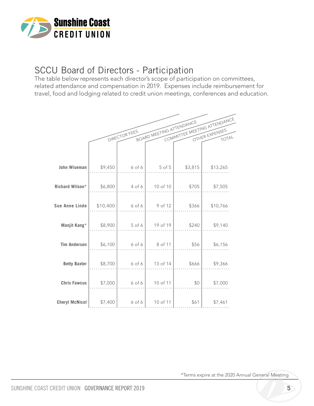

# SCCU Board of Directors - Participation

The table below represents each director's scope of participation on committees, related attendance and compensation in 2019. Expenses include reimbursement for travel, food and lodging related to credit union meetings, conferences and education.

|                       |          |               | BOARD MEETING ATTENDANCE |         | COMMITTEE MEETING ATTENDANCE |
|-----------------------|----------|---------------|--------------------------|---------|------------------------------|
|                       |          | DIRECTOR FEES |                          |         |                              |
|                       |          |               |                          |         |                              |
| <b>John Wiseman</b>   | \$9,450  | 6 of 6        | $5$ of $5$               | \$3,815 | \$13,265                     |
| Richard Wilson*       | \$6,800  | 4 of 6        | 10 of 10                 | \$705   | \$7,505                      |
| <b>Sue Anne Linde</b> | \$10,400 | 6 of 6        | 9 of 12                  | \$366   | \$10,766                     |
| Manjit Kang*          | \$8,900  | $5$ of 6      | 19 of 19                 | \$240   | \$9,140                      |
| <b>Tim Anderson</b>   | \$6,100  | 6 of 6        | 8 of 11                  | \$56    | \$6,156                      |
| <b>Betty Baxter</b>   | \$8,700  | 6 of 6        | 13 of 14                 | \$666   | \$9,366                      |
| <b>Chris Fawcus</b>   | \$7,000  | 6 of 6        | 10 of 11                 | \$0     | \$7,000                      |
| <b>Cheryl McNicol</b> | \$7,400  | $6$ of $6$    | 10 of 11                 | \$61    | \$7,461                      |

\*Terms expire at the 2020 Annual General Meeting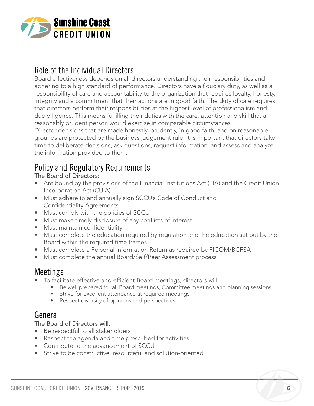

### Role of the Individual Directors

Board effectiveness depends on all directors understanding their responsibilities and adhering to a high standard of performance. Directors have a fiduciary duty, as well as a responsibility of care and accountability to the organization that requires loyalty, honesty, integrity and a commitment that their actions are in good faith. The duty of care requires that directors perform their responsibilities at the highest level of professionalism and due diligence. This means fulfilling their duties with the care, attention and skill that a reasonably prudent person would exercise in comparable circumstances.

Director decisions that are made honestly, prudently, in good faith, and on reasonable grounds are protected by the business judgement rule. It is important that directors take time to deliberate decisions, ask questions, request information, and assess and analyze the information provided to them.

### Policy and Regulatory Requirements

The Board of Directors:

- Are bound by the provisions of the Financial Institutions Act (FIA) and the Credit Union Incorporation Act (CUIA)
- Must adhere to and annually sign SCCU's Code of Conduct and Confidentiality Agreements
- Must comply with the policies of SCCU
- Must make timely disclosure of any conflicts of interest
- Must maintain confidentiality
- Must complete the education required by regulation and the education set out by the Board within the required time frames
- Must complete a Personal Information Return as required by FICOM/BCFSA
- Must complete the annual Board/Self/Peer Assessment process

### Meetings

- To facilitate effective and efficient Board meetings, directors will:
	- Be well prepared for all Board meetings, Committee meetings and planning sessions
	- Strive for excellent attendance at required meetings
	- Respect diversity of opinions and perspectives

### General

The Board of Directors will:

- Be respectful to all stakeholders
- Respect the agenda and time prescribed for activities
- Contribute to the advancement of SCCU
- Strive to be constructive, resourceful and solution-oriented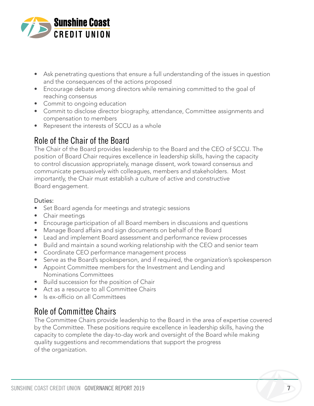

- Ask penetrating questions that ensure a full understanding of the issues in question and the consequences of the actions proposed
- Encourage debate among directors while remaining committed to the goal of reaching consensus
- Commit to ongoing education
- Commit to disclose director biography, attendance, Committee assignments and compensation to members
- Represent the interests of SCCU as a whole

### Role of the Chair of the Board

The Chair of the Board provides leadership to the Board and the CEO of SCCU. The position of Board Chair requires excellence in leadership skills, having the capacity to control discussion appropriately, manage dissent, work toward consensus and communicate persuasively with colleagues, members and stakeholders. Most importantly, the Chair must establish a culture of active and constructive Board engagement.

### Duties:

- Set Board agenda for meetings and strategic sessions
- Chair meetings
- Encourage participation of all Board members in discussions and questions
- Manage Board affairs and sign documents on behalf of the Board
- Lead and implement Board assessment and performance review processes
- Build and maintain a sound working relationship with the CEO and senior team
- Coordinate CEO performance management process
- Serve as the Board's spokesperson, and if required, the organization's spokesperson
- Appoint Committee members for the Investment and Lending and Nominations Committees
- Build succession for the position of Chair
- Act as a resource to all Committee Chairs
- Is ex-officio on all Committees

### Role of Committee Chairs

The Committee Chairs provide leadership to the Board in the area of expertise covered by the Committee. These positions require excellence in leadership skills, having the capacity to complete the day-to-day work and oversight of the Board while making quality suggestions and recommendations that support the progress of the organization.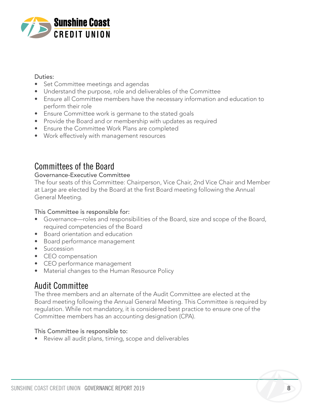

#### Duties:

- Set Committee meetings and agendas
- Understand the purpose, role and deliverables of the Committee
- Ensure all Committee members have the necessary information and education to perform their role
- Ensure Committee work is germane to the stated goals
- Provide the Board and or membership with updates as required
- Ensure the Committee Work Plans are completed
- Work effectively with management resources

### Committees of the Board

### Governance-Executive Committee

The four seats of this Committee: Chairperson, Vice Chair, 2nd Vice Chair and Member at Large are elected by the Board at the first Board meeting following the Annual General Meeting.

### This Committee is responsible for:

- Governance—roles and responsibilities of the Board, size and scope of the Board, required competencies of the Board
- Board orientation and education
- Board performance management
- Succession
- CEO compensation
- CEO performance management
- Material changes to the Human Resource Policy

### Audit Committee

The three members and an alternate of the Audit Committee are elected at the Board meeting following the Annual General Meeting. This Committee is required by regulation. While not mandatory, it is considered best practice to ensure one of the Committee members has an accounting designation (CPA).

### This Committee is responsible to:

• Review all audit plans, timing, scope and deliverables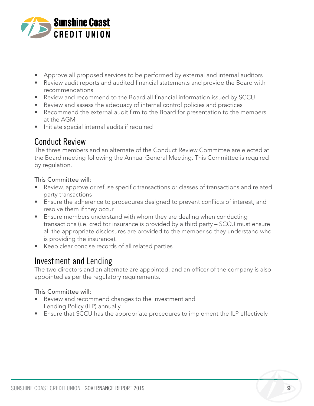

- Approve all proposed services to be performed by external and internal auditors
- Review audit reports and audited financial statements and provide the Board with recommendations
- Review and recommend to the Board all financial information issued by SCCU
- Review and assess the adequacy of internal control policies and practices
- Recommend the external audit firm to the Board for presentation to the members at the AGM
- Initiate special internal audits if required

### Conduct Review

The three members and an alternate of the Conduct Review Committee are elected at the Board meeting following the Annual General Meeting. This Committee is required by regulation.

### This Committee will:

- Review, approve or refuse specific transactions or classes of transactions and related party transactions
- Ensure the adherence to procedures designed to prevent conflicts of interest, and resolve them if they occur
- Ensure members understand with whom they are dealing when conducting transactions (i.e. creditor insurance is provided by a third party – SCCU must ensure all the appropriate disclosures are provided to the member so they understand who is providing the insurance).
- Keep clear concise records of all related parties

### Investment and Lending

The two directors and an alternate are appointed, and an officer of the company is also appointed as per the regulatory requirements.

### This Committee will:

- Review and recommend changes to the Investment and Lending Policy (ILP) annually
- Ensure that SCCU has the appropriate procedures to implement the ILP effectively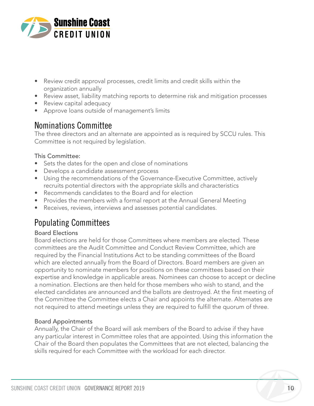

- Review credit approval processes, credit limits and credit skills within the organization annually
- Review asset, liability matching reports to determine risk and mitigation processes
- Review capital adequacy
- Approve loans outside of management's limits

### Nominations Committee

The three directors and an alternate are appointed as is required by SCCU rules. This Committee is not required by legislation.

### This Committee:

- Sets the dates for the open and close of nominations
- Develops a candidate assessment process
- Using the recommendations of the Governance-Executive Committee, actively recruits potential directors with the appropriate skills and characteristics
- Recommends candidates to the Board and for election
- Provides the members with a formal report at the Annual General Meeting
- Receives, reviews, interviews and assesses potential candidates.

### Populating Committees

### Board Elections

Board elections are held for those Committees where members are elected. These committees are the Audit Committee and Conduct Review Committee, which are required by the Financial Institutions Act to be standing committees of the Board which are elected annually from the Board of Directors. Board members are given an opportunity to nominate members for positions on these committees based on their expertise and knowledge in applicable areas. Nominees can choose to accept or decline a nomination. Elections are then held for those members who wish to stand, and the elected candidates are announced and the ballots are destroyed. At the first meeting of the Committee the Committee elects a Chair and appoints the alternate. Alternates are not required to attend meetings unless they are required to fulfill the quorum of three.

### Board Appointments

Annually, the Chair of the Board will ask members of the Board to advise if they have any particular interest in Committee roles that are appointed. Using this information the Chair of the Board then populates the Committees that are not elected, balancing the skills required for each Committee with the workload for each director.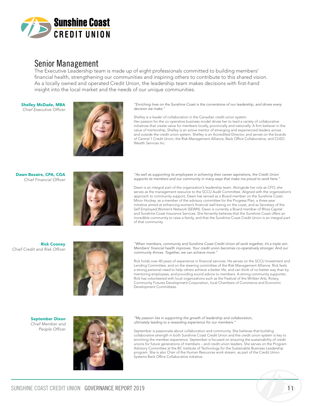

### Senior Management

The Executive Leadership team is made up of eight professionals committed to building members' financial health, strengthening our communities and inspiring others to contribute to this shared vision. As a locally owned and operated Credit Union, the leadership team makes decisions with first-hand insight into the local market and the needs of our unique communities.

Shelley McDade, MBA Chief Executive Officer



*"Enriching lives on the Sunshine Coast is the cornerstone of our leadership, and drives every*  decision we make."

Shelley is a leader of collaboration in the Canadian credit union system. Her passion for the co-operative business model drives her to lead a variety of collaborative initiatives that create value for members locally, provincially and nationally. A firm believer in the value of mentorship, Shelley is an active mentor of emerging and experienced leaders across and outside the credit union system. Shelley is an Accredited Director, and serves on the boards of Central 1 Credit Union, the Risk Management Alliance, Back Office Collaborative, and CUSO Wealth Services Inc.

Dawn Bezaire, CPA, CGA Chief Financial Officer



*"As well as supporting its employees in achieving their career aspirations, the Credit Union*  supports its members and our community in many ways that make me proud to work here.'

Dawn is an integral part of the organization's leadership team. Alongside her role as CFO, she serves as the management resource to the SCCU Audit Committee. Aligned with the organization's approach to community support, Dawn has served as a Board member on the Sunshine Coast Minor Hockey, as a member of the advisory committee for the Progress Plan; a three-year initiative aimed at enhancing women's financial well-being on the coast, and as Secretary of the Self Employed Women's Network (SEWN). Dawn is currently a Board member of Rhiza Capital and Sunshine Coast Insurance Services. She fervently believes that the Sunshine Coast offers an incredible community to raise a family, and that the Sunshine Coast Credit Union is an integral part of that community.

Rick Cooney Chief Credit and Risk Officer



"When members, community and Sunshine Coast Credit Union all work together, it's a triple win. Members' financial health improves. Your credit union becomes co-operatively stronger. And our community thrives. Together, we can achieve more."

Rick holds over 40 years of experience in financial services. He serves on the SCCU Investment and Lending Committee, and on the steering committee of the Risk Management Alliance. Rick feels a strong personal need to help others achieve a better life, and can think of no better way than by mentoring employees, and providing sound advice to members. A strong community supporter, Rick has volunteered with local organizations such as the Festival of the Written Arts, Rotary, Community Futures Development Corporation, local Chambers of Commerce and Economic Development Committees.

September Dixon *Chief Member and*  People Officer



*"My passion lies in supporting the growth of leadership and collaboration,*  ultimately leading to a rewarding experience for our members."

September is passionate about collaboration and community. She believes that building collaborative strength in both Sunshine Coast Credit Union and the credit union system is key to enriching the member experience. September is focused on ensuring the sustainability of credit unions for future generations of members – and credit union leaders. She serves on the Program Advisory Committee at the BC Institute of Technology for the Sustainable Business Leadership program. She is also Chair of the Human Resources work stream, as part of the Credit Union Systems Back Office Collaborative initiative.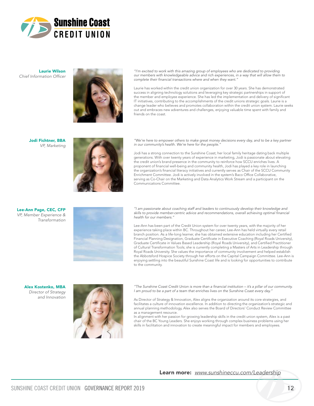

Laurie Wilson Chief Information Officer



"I'm excited to work with this amazing group of employees who are dedicated to providing *our members with knowledgeable advice and rich experiences, in a way that will allow them to*  complete their financial transactions where and when they want."

Laurie has worked within the credit union organization for over 30 years. She has demonstrated success in aligning technology solutions and leveraging key strategic partnerships in support of the member and employee experience. She has led the implementation and delivery of significant IT initiatives, contributing to the accomplishments of the credit unions strategic goals. Laurie is a change leader who believes and promotes collaboration within the credit union system. Laurie seeks out and embraces new adventures and challenges, enjoying valuable time spent with family and friends on the coast.

Jodi Fichtner, BBA *VP, Marketing*



"We're here to empower others to make great money decisions every day, and to be a key partner in our community's health. We're here for the people."

Jodi has a strong connection to the Sunshine Coast; her local family heritage dating back multiple generations. With over twenty years of experience in marketing, Jodi is passionate about elevating the credit union's brand presence in the community to reinforce how SCCU enriches lives. A proponent of financial well-being and community health, Jodi has played a key role in launching the organization's financial literacy initiatives and currently serves as Chair of the SCCU Community Enrichment Committee. Jodi is actively involved in the system's Baco Office Collaborative, serving as Co-Chair on the Marketing and Data Analytics Work Stream and a participant on the Communications Committee.

#### Lee-Ann Page, CEC, CFP *VP, Member Experience & Transformation*



*"I am passionate about coaching staff and leaders to continuously develop their knowledge and*  skills to provide member-centric advice and recommendations, overall achieving optimal financial health for our members."

Lee-Ann has been part of the Credit Union system for over twenty years, with the majority of her experience taking place within BC. Throughout her career, Lee-Ann has held virtually every retail branch position. As a life-long learner, she has obtained extensive education including her Certified Financial Planning Designation, Graduate Certificate in Executive Coaching (Royal Roads University), Graduate Certificate in Values Based Leadership (Royal Roads University), and Certified Practitioner of Cultural Transformation Tools; she is currently completing a Masters of Arts in Leadership through Royal Roads University. She values the importance of community involvement and helped establish the Abbotsford Hospice Society through her efforts on the Capital Campaign Committee. Lee-Ann is enjoying settling into the beautiful Sunshine Coast life and is looking for opportunities to contribute to the community.

#### Alex Kostenko, MBA *Director of Strategy and Innovation*



"The Sunshine Coast Credit Union is more than a financial institution – it's a pillar of our community. I am proud to be a part of a team that enriches lives on the Sunshine Coast every day.'

As Director of Strategy & Innovation, Alex aligns the organization around its core strategies, and facilitates a culture of innovation excellence. In addition to directing the organization's strategic and annual planning methodology, Alex also serves the Board of Directors' Conduct Review Committee as a management resource.

In alignment with her passion for growing leadership skills in the credit union system, Alex is a past chair of the BC Young Leaders. She enjoys working through complex business problems using her skills in facilitation and innovation to create meaningful impact for members and employees.

#### Learn more: *www.sunshineccu.com/Leadership*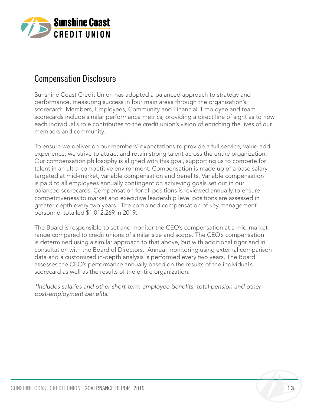

### Compensation Disclosure

Sunshine Coast Credit Union has adopted a balanced approach to strategy and performance, measuring success in four main areas through the organization's scorecard: Members, Employees, Community and Financial. Employee and team scorecards include similar performance metrics, providing a direct line of sight as to how each individual's role contributes to the credit union's vision of enriching the lives of our members and community.

To ensure we deliver on our members' expectations to provide a full service, value-add experience, we strive to attract and retain strong talent across the entire organization. Our compensation philosophy is aligned with this goal, supporting us to compete for talent in an ultra-competitive environment. Compensation is made up of a base salary targeted at mid-market, variable compensation and benefits. Variable compensation is paid to all employees annually contingent on achieving goals set out in our balanced scorecards. Compensation for all positions is reviewed annually to ensure competitiveness to market and executive leadership level positions are assessed in greater depth every two years. The combined compensation of key management personnel totalled \$1,012,269 in 2019.

The Board is responsible to set and monitor the CEO's compensation at a mid-market range compared to credit unions of similar size and scope. The CEO's compensation is determined using a similar approach to that above, but with additional rigor and in consultation with the Board of Directors. Annual monitoring using external comparison data and a customized in-depth analysis is performed every two years. The Board assesses the CEO's performance annually based on the results of the individual's scorecard as well as the results of the entire organization.

\*Includes salaries and other short-term employee benefits, total pension and other post-employment benefits.